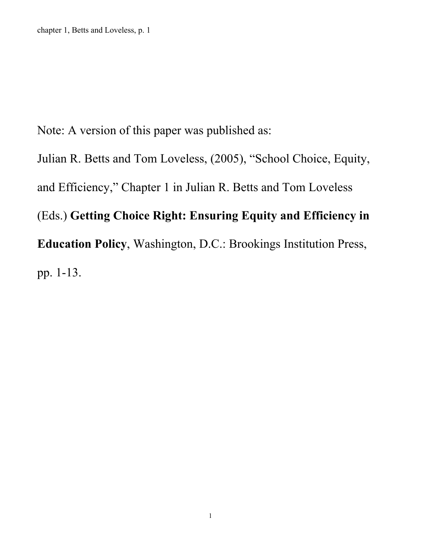Note: A version of this paper was published as:

Julian R. Betts and Tom Loveless, (2005), "School Choice, Equity, and Efficiency," Chapter 1 in Julian R. Betts and Tom Loveless (Eds.) **Getting Choice Right: Ensuring Equity and Efficiency in Education Policy**, Washington, D.C.: Brookings Institution Press, pp. 1-13.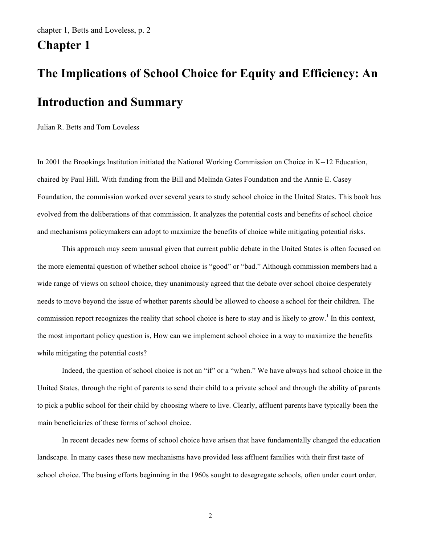# **Chapter 1**

# **The Implications of School Choice for Equity and Efficiency: An Introduction and Summary**

Julian R. Betts and Tom Loveless

In 2001 the Brookings Institution initiated the National Working Commission on Choice in K--12 Education, chaired by Paul Hill. With funding from the Bill and Melinda Gates Foundation and the Annie E. Casey Foundation, the commission worked over several years to study school choice in the United States. This book has evolved from the deliberations of that commission. It analyzes the potential costs and benefits of school choice and mechanisms policymakers can adopt to maximize the benefits of choice while mitigating potential risks.

This approach may seem unusual given that current public debate in the United States is often focused on the more elemental question of whether school choice is "good" or "bad." Although commission members had a wide range of views on school choice, they unanimously agreed that the debate over school choice desperately needs to move beyond the issue of whether parents should be allowed to choose a school for their children. The commission report recognizes the reality that school choice is here to stay and is likely to grow.<sup>1</sup> In this context, the most important policy question is, How can we implement school choice in a way to maximize the benefits while mitigating the potential costs?

Indeed, the question of school choice is not an "if" or a "when." We have always had school choice in the United States, through the right of parents to send their child to a private school and through the ability of parents to pick a public school for their child by choosing where to live. Clearly, affluent parents have typically been the main beneficiaries of these forms of school choice.

In recent decades new forms of school choice have arisen that have fundamentally changed the education landscape. In many cases these new mechanisms have provided less affluent families with their first taste of school choice. The busing efforts beginning in the 1960s sought to desegregate schools, often under court order.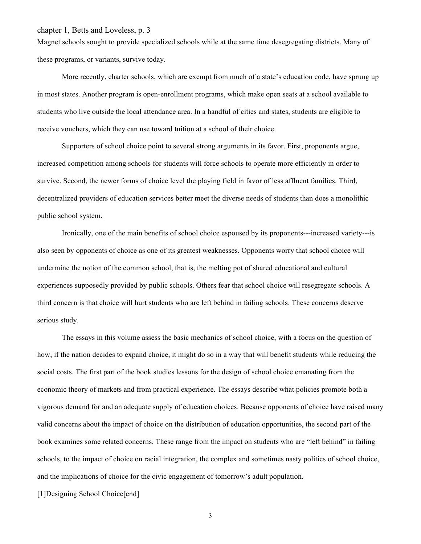Magnet schools sought to provide specialized schools while at the same time desegregating districts. Many of these programs, or variants, survive today.

More recently, charter schools, which are exempt from much of a state's education code, have sprung up in most states. Another program is open-enrollment programs, which make open seats at a school available to students who live outside the local attendance area. In a handful of cities and states, students are eligible to receive vouchers, which they can use toward tuition at a school of their choice.

Supporters of school choice point to several strong arguments in its favor. First, proponents argue, increased competition among schools for students will force schools to operate more efficiently in order to survive. Second, the newer forms of choice level the playing field in favor of less affluent families. Third, decentralized providers of education services better meet the diverse needs of students than does a monolithic public school system.

Ironically, one of the main benefits of school choice espoused by its proponents---increased variety---is also seen by opponents of choice as one of its greatest weaknesses. Opponents worry that school choice will undermine the notion of the common school, that is, the melting pot of shared educational and cultural experiences supposedly provided by public schools. Others fear that school choice will resegregate schools. A third concern is that choice will hurt students who are left behind in failing schools. These concerns deserve serious study.

The essays in this volume assess the basic mechanics of school choice, with a focus on the question of how, if the nation decides to expand choice, it might do so in a way that will benefit students while reducing the social costs. The first part of the book studies lessons for the design of school choice emanating from the economic theory of markets and from practical experience. The essays describe what policies promote both a vigorous demand for and an adequate supply of education choices. Because opponents of choice have raised many valid concerns about the impact of choice on the distribution of education opportunities, the second part of the book examines some related concerns. These range from the impact on students who are "left behind" in failing schools, to the impact of choice on racial integration, the complex and sometimes nasty politics of school choice, and the implications of choice for the civic engagement of tomorrow's adult population.

[1]Designing School Choice[end]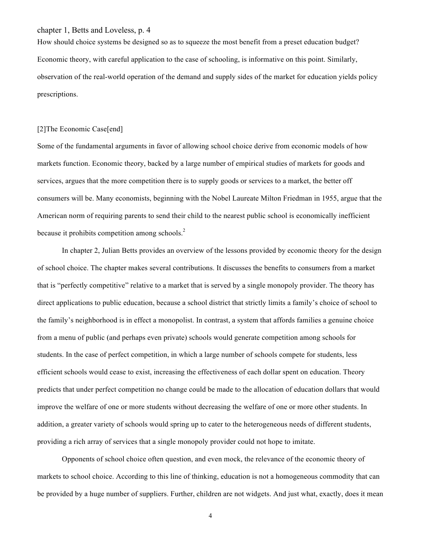How should choice systems be designed so as to squeeze the most benefit from a preset education budget? Economic theory, with careful application to the case of schooling, is informative on this point. Similarly, observation of the real-world operation of the demand and supply sides of the market for education yields policy prescriptions.

#### [2]The Economic Case[end]

Some of the fundamental arguments in favor of allowing school choice derive from economic models of how markets function. Economic theory, backed by a large number of empirical studies of markets for goods and services, argues that the more competition there is to supply goods or services to a market, the better off consumers will be. Many economists, beginning with the Nobel Laureate Milton Friedman in 1955, argue that the American norm of requiring parents to send their child to the nearest public school is economically inefficient because it prohibits competition among schools.<sup>2</sup>

In chapter 2, Julian Betts provides an overview of the lessons provided by economic theory for the design of school choice. The chapter makes several contributions. It discusses the benefits to consumers from a market that is "perfectly competitive" relative to a market that is served by a single monopoly provider. The theory has direct applications to public education, because a school district that strictly limits a family's choice of school to the family's neighborhood is in effect a monopolist. In contrast, a system that affords families a genuine choice from a menu of public (and perhaps even private) schools would generate competition among schools for students. In the case of perfect competition, in which a large number of schools compete for students, less efficient schools would cease to exist, increasing the effectiveness of each dollar spent on education. Theory predicts that under perfect competition no change could be made to the allocation of education dollars that would improve the welfare of one or more students without decreasing the welfare of one or more other students. In addition, a greater variety of schools would spring up to cater to the heterogeneous needs of different students, providing a rich array of services that a single monopoly provider could not hope to imitate.

Opponents of school choice often question, and even mock, the relevance of the economic theory of markets to school choice. According to this line of thinking, education is not a homogeneous commodity that can be provided by a huge number of suppliers. Further, children are not widgets. And just what, exactly, does it mean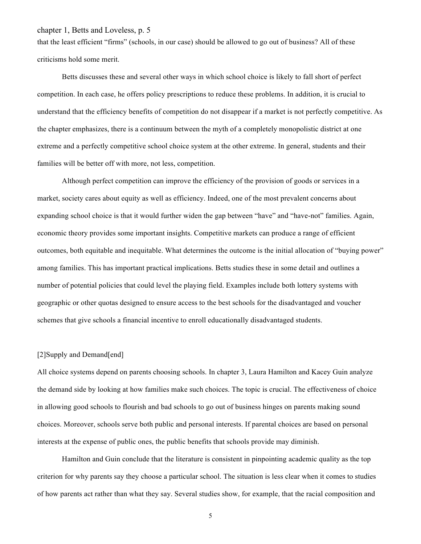that the least efficient "firms" (schools, in our case) should be allowed to go out of business? All of these criticisms hold some merit.

Betts discusses these and several other ways in which school choice is likely to fall short of perfect competition. In each case, he offers policy prescriptions to reduce these problems. In addition, it is crucial to understand that the efficiency benefits of competition do not disappear if a market is not perfectly competitive. As the chapter emphasizes, there is a continuum between the myth of a completely monopolistic district at one extreme and a perfectly competitive school choice system at the other extreme. In general, students and their families will be better off with more, not less, competition.

Although perfect competition can improve the efficiency of the provision of goods or services in a market, society cares about equity as well as efficiency. Indeed, one of the most prevalent concerns about expanding school choice is that it would further widen the gap between "have" and "have-not" families. Again, economic theory provides some important insights. Competitive markets can produce a range of efficient outcomes, both equitable and inequitable. What determines the outcome is the initial allocation of "buying power" among families. This has important practical implications. Betts studies these in some detail and outlines a number of potential policies that could level the playing field. Examples include both lottery systems with geographic or other quotas designed to ensure access to the best schools for the disadvantaged and voucher schemes that give schools a financial incentive to enroll educationally disadvantaged students.

# [2]Supply and Demand[end]

All choice systems depend on parents choosing schools. In chapter 3, Laura Hamilton and Kacey Guin analyze the demand side by looking at how families make such choices. The topic is crucial. The effectiveness of choice in allowing good schools to flourish and bad schools to go out of business hinges on parents making sound choices. Moreover, schools serve both public and personal interests. If parental choices are based on personal interests at the expense of public ones, the public benefits that schools provide may diminish.

Hamilton and Guin conclude that the literature is consistent in pinpointing academic quality as the top criterion for why parents say they choose a particular school. The situation is less clear when it comes to studies of how parents act rather than what they say. Several studies show, for example, that the racial composition and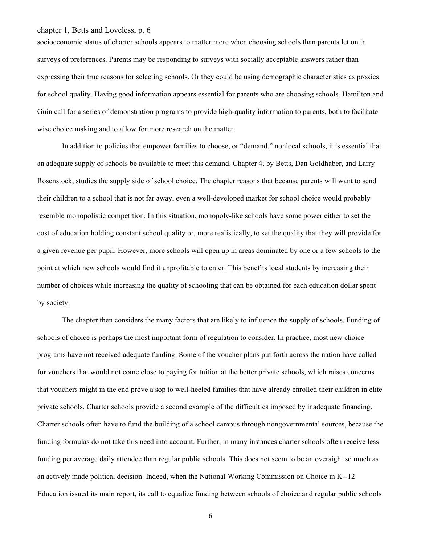socioeconomic status of charter schools appears to matter more when choosing schools than parents let on in surveys of preferences. Parents may be responding to surveys with socially acceptable answers rather than expressing their true reasons for selecting schools. Or they could be using demographic characteristics as proxies for school quality. Having good information appears essential for parents who are choosing schools. Hamilton and Guin call for a series of demonstration programs to provide high-quality information to parents, both to facilitate wise choice making and to allow for more research on the matter.

In addition to policies that empower families to choose, or "demand," nonlocal schools, it is essential that an adequate supply of schools be available to meet this demand. Chapter 4, by Betts, Dan Goldhaber, and Larry Rosenstock, studies the supply side of school choice. The chapter reasons that because parents will want to send their children to a school that is not far away, even a well-developed market for school choice would probably resemble monopolistic competition. In this situation, monopoly-like schools have some power either to set the cost of education holding constant school quality or, more realistically, to set the quality that they will provide for a given revenue per pupil. However, more schools will open up in areas dominated by one or a few schools to the point at which new schools would find it unprofitable to enter. This benefits local students by increasing their number of choices while increasing the quality of schooling that can be obtained for each education dollar spent by society.

The chapter then considers the many factors that are likely to influence the supply of schools. Funding of schools of choice is perhaps the most important form of regulation to consider. In practice, most new choice programs have not received adequate funding. Some of the voucher plans put forth across the nation have called for vouchers that would not come close to paying for tuition at the better private schools, which raises concerns that vouchers might in the end prove a sop to well-heeled families that have already enrolled their children in elite private schools. Charter schools provide a second example of the difficulties imposed by inadequate financing. Charter schools often have to fund the building of a school campus through nongovernmental sources, because the funding formulas do not take this need into account. Further, in many instances charter schools often receive less funding per average daily attendee than regular public schools. This does not seem to be an oversight so much as an actively made political decision. Indeed, when the National Working Commission on Choice in K--12 Education issued its main report, its call to equalize funding between schools of choice and regular public schools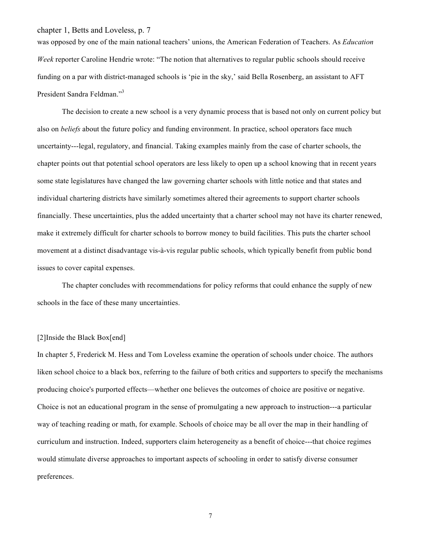was opposed by one of the main national teachers' unions, the American Federation of Teachers. As *Education Week* reporter Caroline Hendrie wrote: "The notion that alternatives to regular public schools should receive funding on a par with district-managed schools is 'pie in the sky,' said Bella Rosenberg, an assistant to AFT President Sandra Feldman."<sup>3</sup>

The decision to create a new school is a very dynamic process that is based not only on current policy but also on *beliefs* about the future policy and funding environment. In practice, school operators face much uncertainty---legal, regulatory, and financial. Taking examples mainly from the case of charter schools, the chapter points out that potential school operators are less likely to open up a school knowing that in recent years some state legislatures have changed the law governing charter schools with little notice and that states and individual chartering districts have similarly sometimes altered their agreements to support charter schools financially. These uncertainties, plus the added uncertainty that a charter school may not have its charter renewed, make it extremely difficult for charter schools to borrow money to build facilities. This puts the charter school movement at a distinct disadvantage vis-à-vis regular public schools, which typically benefit from public bond issues to cover capital expenses.

The chapter concludes with recommendations for policy reforms that could enhance the supply of new schools in the face of these many uncertainties.

# [2]Inside the Black Box[end]

In chapter 5, Frederick M. Hess and Tom Loveless examine the operation of schools under choice. The authors liken school choice to a black box, referring to the failure of both critics and supporters to specify the mechanisms producing choice's purported effects—whether one believes the outcomes of choice are positive or negative. Choice is not an educational program in the sense of promulgating a new approach to instruction---a particular way of teaching reading or math, for example. Schools of choice may be all over the map in their handling of curriculum and instruction. Indeed, supporters claim heterogeneity as a benefit of choice---that choice regimes would stimulate diverse approaches to important aspects of schooling in order to satisfy diverse consumer preferences.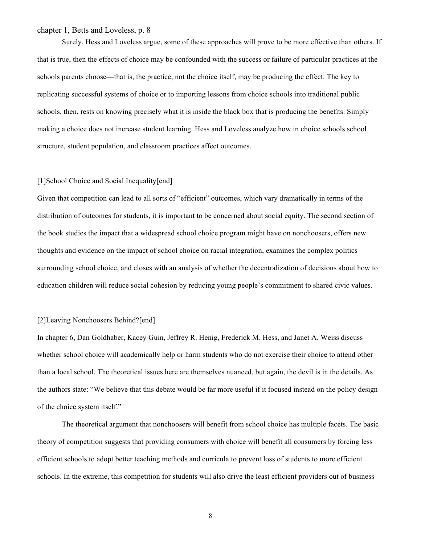Surely, Hess and Loveless argue, some of these approaches will prove to be more effective than others. If that is true, then the effects of choice may be confounded with the success or failure of particular practices at the schools parents choose—that is, the practice, not the choice itself, may be producing the effect. The key to replicating successful systems of choice or to importing lessons from choice schools into traditional public schools, then, rests on knowing precisely what it is inside the black box that is producing the benefits. Simply making a choice does not increase student learning. Hess and Loveless analyze how in choice schools school structure, student population, and classroom practices affect outcomes.

# [1]School Choice and Social Inequality[end]

Given that competition can lead to all sorts of "efficient" outcomes, which vary dramatically in terms of the distribution of outcomes for students, it is important to be concerned about social equity. The second section of the book studies the impact that a widespread school choice program might have on nonchoosers, offers new thoughts and evidence on the impact of school choice on racial integration, examines the complex politics surrounding school choice, and closes with an analysis of whether the decentralization of decisions about how to education children will reduce social cohesion by reducing young people's commitment to shared civic values.

#### [2]Leaving Nonchoosers Behind?[end]

In chapter 6, Dan Goldhaber, Kacey Guin, Jeffrey R. Henig, Frederick M. Hess, and Janet A. Weiss discuss whether school choice will academically help or harm students who do not exercise their choice to attend other than a local school. The theoretical issues here are themselves nuanced, but again, the devil is in the details. As the authors state: "We believe that this debate would be far more useful if it focused instead on the policy design of the choice system itself."

The theoretical argument that nonchoosers will benefit from school choice has multiple facets. The basic theory of competition suggests that providing consumers with choice will benefit all consumers by forcing less efficient schools to adopt better teaching methods and curricula to prevent loss of students to more efficient schools. In the extreme, this competition for students will also drive the least efficient providers out of business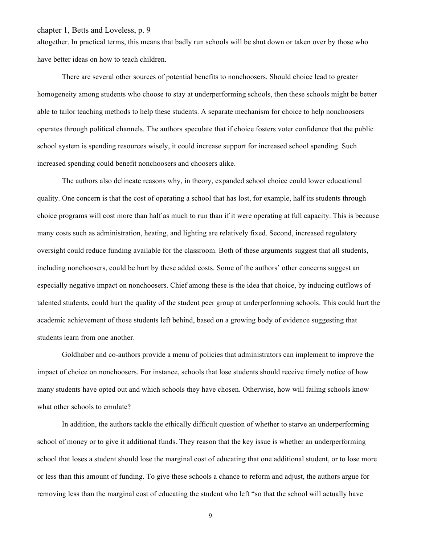altogether. In practical terms, this means that badly run schools will be shut down or taken over by those who have better ideas on how to teach children.

There are several other sources of potential benefits to nonchoosers. Should choice lead to greater homogeneity among students who choose to stay at underperforming schools, then these schools might be better able to tailor teaching methods to help these students. A separate mechanism for choice to help nonchoosers operates through political channels. The authors speculate that if choice fosters voter confidence that the public school system is spending resources wisely, it could increase support for increased school spending. Such increased spending could benefit nonchoosers and choosers alike.

The authors also delineate reasons why, in theory, expanded school choice could lower educational quality. One concern is that the cost of operating a school that has lost, for example, half its students through choice programs will cost more than half as much to run than if it were operating at full capacity. This is because many costs such as administration, heating, and lighting are relatively fixed. Second, increased regulatory oversight could reduce funding available for the classroom. Both of these arguments suggest that all students, including nonchoosers, could be hurt by these added costs. Some of the authors' other concerns suggest an especially negative impact on nonchoosers. Chief among these is the idea that choice, by inducing outflows of talented students, could hurt the quality of the student peer group at underperforming schools. This could hurt the academic achievement of those students left behind, based on a growing body of evidence suggesting that students learn from one another.

Goldhaber and co-authors provide a menu of policies that administrators can implement to improve the impact of choice on nonchoosers. For instance, schools that lose students should receive timely notice of how many students have opted out and which schools they have chosen. Otherwise, how will failing schools know what other schools to emulate?

In addition, the authors tackle the ethically difficult question of whether to starve an underperforming school of money or to give it additional funds. They reason that the key issue is whether an underperforming school that loses a student should lose the marginal cost of educating that one additional student, or to lose more or less than this amount of funding. To give these schools a chance to reform and adjust, the authors argue for removing less than the marginal cost of educating the student who left "so that the school will actually have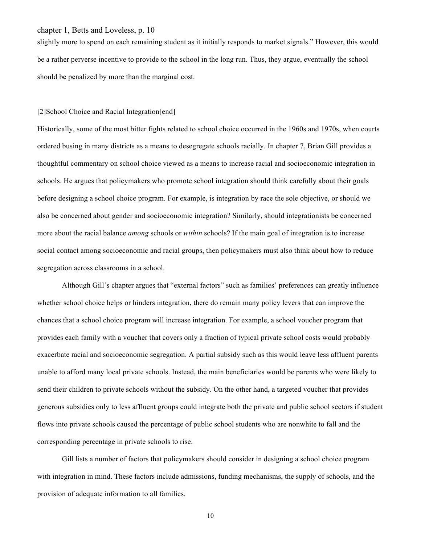slightly more to spend on each remaining student as it initially responds to market signals." However, this would be a rather perverse incentive to provide to the school in the long run. Thus, they argue, eventually the school should be penalized by more than the marginal cost.

#### [2]School Choice and Racial Integration[end]

Historically, some of the most bitter fights related to school choice occurred in the 1960s and 1970s, when courts ordered busing in many districts as a means to desegregate schools racially. In chapter 7, Brian Gill provides a thoughtful commentary on school choice viewed as a means to increase racial and socioeconomic integration in schools. He argues that policymakers who promote school integration should think carefully about their goals before designing a school choice program. For example, is integration by race the sole objective, or should we also be concerned about gender and socioeconomic integration? Similarly, should integrationists be concerned more about the racial balance *among* schools or *within* schools? If the main goal of integration is to increase social contact among socioeconomic and racial groups, then policymakers must also think about how to reduce segregation across classrooms in a school.

Although Gill's chapter argues that "external factors" such as families' preferences can greatly influence whether school choice helps or hinders integration, there do remain many policy levers that can improve the chances that a school choice program will increase integration. For example, a school voucher program that provides each family with a voucher that covers only a fraction of typical private school costs would probably exacerbate racial and socioeconomic segregation. A partial subsidy such as this would leave less affluent parents unable to afford many local private schools. Instead, the main beneficiaries would be parents who were likely to send their children to private schools without the subsidy. On the other hand, a targeted voucher that provides generous subsidies only to less affluent groups could integrate both the private and public school sectors if student flows into private schools caused the percentage of public school students who are nonwhite to fall and the corresponding percentage in private schools to rise.

Gill lists a number of factors that policymakers should consider in designing a school choice program with integration in mind. These factors include admissions, funding mechanisms, the supply of schools, and the provision of adequate information to all families.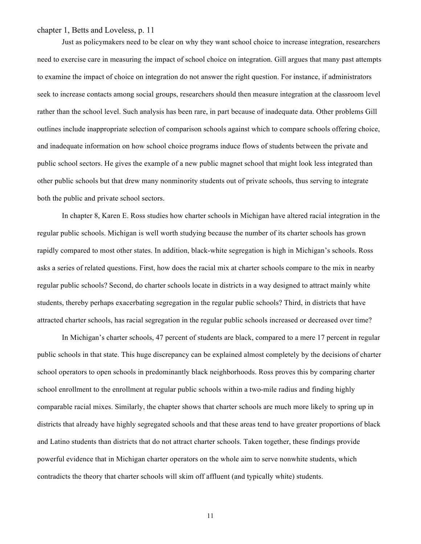Just as policymakers need to be clear on why they want school choice to increase integration, researchers need to exercise care in measuring the impact of school choice on integration. Gill argues that many past attempts to examine the impact of choice on integration do not answer the right question. For instance, if administrators seek to increase contacts among social groups, researchers should then measure integration at the classroom level rather than the school level. Such analysis has been rare, in part because of inadequate data. Other problems Gill outlines include inappropriate selection of comparison schools against which to compare schools offering choice, and inadequate information on how school choice programs induce flows of students between the private and public school sectors. He gives the example of a new public magnet school that might look less integrated than other public schools but that drew many nonminority students out of private schools, thus serving to integrate both the public and private school sectors.

In chapter 8, Karen E. Ross studies how charter schools in Michigan have altered racial integration in the regular public schools. Michigan is well worth studying because the number of its charter schools has grown rapidly compared to most other states. In addition, black-white segregation is high in Michigan's schools. Ross asks a series of related questions. First, how does the racial mix at charter schools compare to the mix in nearby regular public schools? Second, do charter schools locate in districts in a way designed to attract mainly white students, thereby perhaps exacerbating segregation in the regular public schools? Third, in districts that have attracted charter schools, has racial segregation in the regular public schools increased or decreased over time?

In Michigan's charter schools, 47 percent of students are black, compared to a mere 17 percent in regular public schools in that state. This huge discrepancy can be explained almost completely by the decisions of charter school operators to open schools in predominantly black neighborhoods. Ross proves this by comparing charter school enrollment to the enrollment at regular public schools within a two-mile radius and finding highly comparable racial mixes. Similarly, the chapter shows that charter schools are much more likely to spring up in districts that already have highly segregated schools and that these areas tend to have greater proportions of black and Latino students than districts that do not attract charter schools. Taken together, these findings provide powerful evidence that in Michigan charter operators on the whole aim to serve nonwhite students, which contradicts the theory that charter schools will skim off affluent (and typically white) students.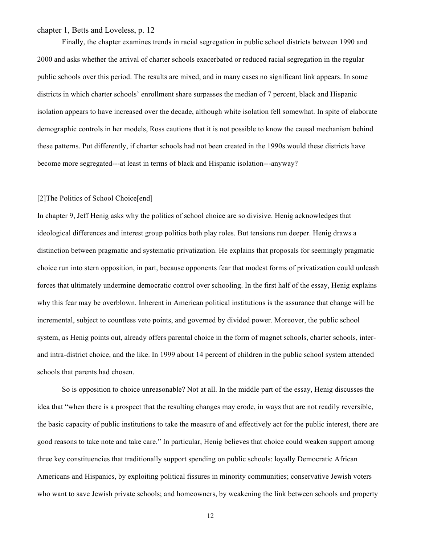Finally, the chapter examines trends in racial segregation in public school districts between 1990 and 2000 and asks whether the arrival of charter schools exacerbated or reduced racial segregation in the regular public schools over this period. The results are mixed, and in many cases no significant link appears. In some districts in which charter schools' enrollment share surpasses the median of 7 percent, black and Hispanic isolation appears to have increased over the decade, although white isolation fell somewhat. In spite of elaborate demographic controls in her models, Ross cautions that it is not possible to know the causal mechanism behind these patterns. Put differently, if charter schools had not been created in the 1990s would these districts have become more segregated---at least in terms of black and Hispanic isolation---anyway?

# [2]The Politics of School Choice[end]

In chapter 9, Jeff Henig asks why the politics of school choice are so divisive. Henig acknowledges that ideological differences and interest group politics both play roles. But tensions run deeper. Henig draws a distinction between pragmatic and systematic privatization. He explains that proposals for seemingly pragmatic choice run into stern opposition, in part, because opponents fear that modest forms of privatization could unleash forces that ultimately undermine democratic control over schooling. In the first half of the essay, Henig explains why this fear may be overblown. Inherent in American political institutions is the assurance that change will be incremental, subject to countless veto points, and governed by divided power. Moreover, the public school system, as Henig points out, already offers parental choice in the form of magnet schools, charter schools, interand intra-district choice, and the like. In 1999 about 14 percent of children in the public school system attended schools that parents had chosen.

So is opposition to choice unreasonable? Not at all. In the middle part of the essay, Henig discusses the idea that "when there is a prospect that the resulting changes may erode, in ways that are not readily reversible, the basic capacity of public institutions to take the measure of and effectively act for the public interest, there are good reasons to take note and take care." In particular, Henig believes that choice could weaken support among three key constituencies that traditionally support spending on public schools: loyally Democratic African Americans and Hispanics, by exploiting political fissures in minority communities; conservative Jewish voters who want to save Jewish private schools; and homeowners, by weakening the link between schools and property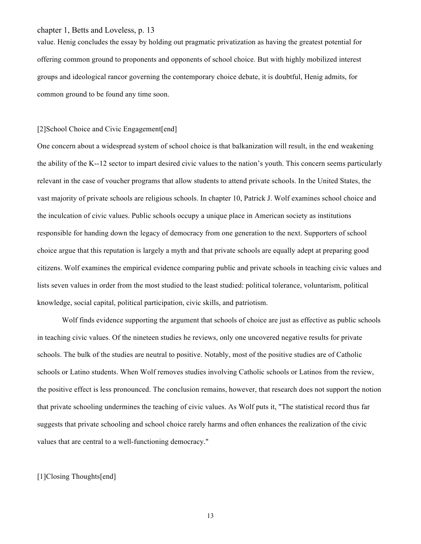value. Henig concludes the essay by holding out pragmatic privatization as having the greatest potential for offering common ground to proponents and opponents of school choice. But with highly mobilized interest groups and ideological rancor governing the contemporary choice debate, it is doubtful, Henig admits, for common ground to be found any time soon.

# [2]School Choice and Civic Engagement[end]

One concern about a widespread system of school choice is that balkanization will result, in the end weakening the ability of the K--12 sector to impart desired civic values to the nation's youth. This concern seems particularly relevant in the case of voucher programs that allow students to attend private schools. In the United States, the vast majority of private schools are religious schools. In chapter 10, Patrick J. Wolf examines school choice and the inculcation of civic values. Public schools occupy a unique place in American society as institutions responsible for handing down the legacy of democracy from one generation to the next. Supporters of school choice argue that this reputation is largely a myth and that private schools are equally adept at preparing good citizens. Wolf examines the empirical evidence comparing public and private schools in teaching civic values and lists seven values in order from the most studied to the least studied: political tolerance, voluntarism, political knowledge, social capital, political participation, civic skills, and patriotism.

Wolf finds evidence supporting the argument that schools of choice are just as effective as public schools in teaching civic values. Of the nineteen studies he reviews, only one uncovered negative results for private schools. The bulk of the studies are neutral to positive. Notably, most of the positive studies are of Catholic schools or Latino students. When Wolf removes studies involving Catholic schools or Latinos from the review, the positive effect is less pronounced. The conclusion remains, however, that research does not support the notion that private schooling undermines the teaching of civic values. As Wolf puts it, "The statistical record thus far suggests that private schooling and school choice rarely harms and often enhances the realization of the civic values that are central to a well-functioning democracy."

# [1]Closing Thoughts[end]